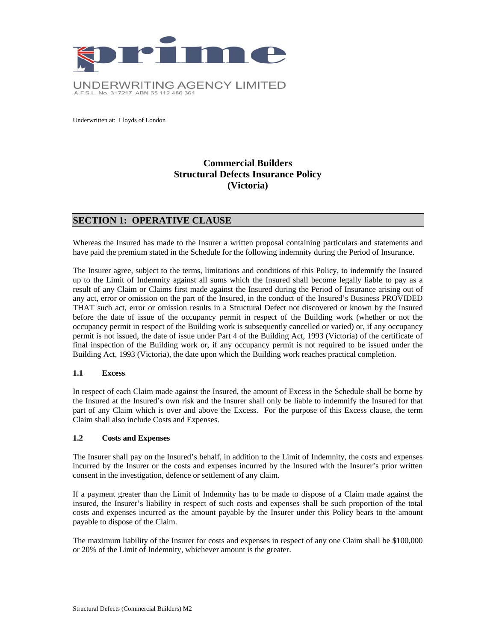

Underwritten at: Lloyds of London

# **Commercial Builders Structural Defects Insurance Policy (Victoria)**

## **SECTION 1: OPERATIVE CLAUSE**

Whereas the Insured has made to the Insurer a written proposal containing particulars and statements and have paid the premium stated in the Schedule for the following indemnity during the Period of Insurance.

The Insurer agree, subject to the terms, limitations and conditions of this Policy, to indemnify the Insured up to the Limit of Indemnity against all sums which the Insured shall become legally liable to pay as a result of any Claim or Claims first made against the Insured during the Period of Insurance arising out of any act, error or omission on the part of the Insured, in the conduct of the Insured's Business PROVIDED THAT such act, error or omission results in a Structural Defect not discovered or known by the Insured before the date of issue of the occupancy permit in respect of the Building work (whether or not the occupancy permit in respect of the Building work is subsequently cancelled or varied) or, if any occupancy permit is not issued, the date of issue under Part 4 of the Building Act, 1993 (Victoria) of the certificate of final inspection of the Building work or, if any occupancy permit is not required to be issued under the Building Act, 1993 (Victoria), the date upon which the Building work reaches practical completion.

### **1.1 Excess**

In respect of each Claim made against the Insured, the amount of Excess in the Schedule shall be borne by the Insured at the Insured's own risk and the Insurer shall only be liable to indemnify the Insured for that part of any Claim which is over and above the Excess. For the purpose of this Excess clause, the term Claim shall also include Costs and Expenses.

#### **1.2 Costs and Expenses**

The Insurer shall pay on the Insured's behalf, in addition to the Limit of Indemnity, the costs and expenses incurred by the Insurer or the costs and expenses incurred by the Insured with the Insurer's prior written consent in the investigation, defence or settlement of any claim.

If a payment greater than the Limit of Indemnity has to be made to dispose of a Claim made against the insured, the Insurer's liability in respect of such costs and expenses shall be such proportion of the total costs and expenses incurred as the amount payable by the Insurer under this Policy bears to the amount payable to dispose of the Claim.

The maximum liability of the Insurer for costs and expenses in respect of any one Claim shall be \$100,000 or 20% of the Limit of Indemnity, whichever amount is the greater.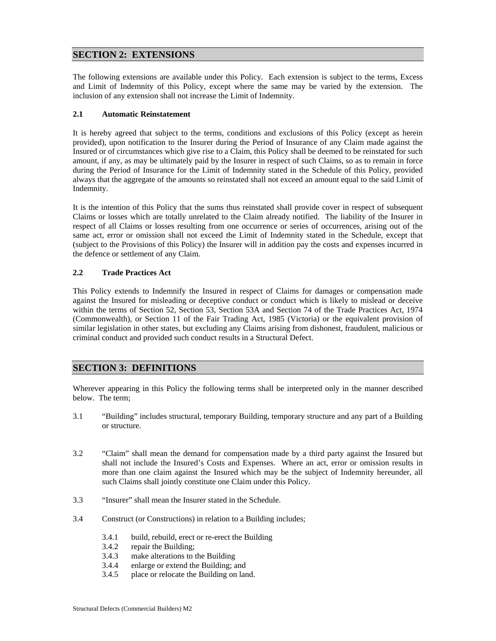# **SECTION 2: EXTENSIONS**

The following extensions are available under this Policy. Each extension is subject to the terms, Excess and Limit of Indemnity of this Policy, except where the same may be varied by the extension. The inclusion of any extension shall not increase the Limit of Indemnity.

### **2.1 Automatic Reinstatement**

It is hereby agreed that subject to the terms, conditions and exclusions of this Policy (except as herein provided), upon notification to the Insurer during the Period of Insurance of any Claim made against the Insured or of circumstances which give rise to a Claim, this Policy shall be deemed to be reinstated for such amount, if any, as may be ultimately paid by the Insurer in respect of such Claims, so as to remain in force during the Period of Insurance for the Limit of Indemnity stated in the Schedule of this Policy, provided always that the aggregate of the amounts so reinstated shall not exceed an amount equal to the said Limit of Indemnity.

It is the intention of this Policy that the sums thus reinstated shall provide cover in respect of subsequent Claims or losses which are totally unrelated to the Claim already notified. The liability of the Insurer in respect of all Claims or losses resulting from one occurrence or series of occurrences, arising out of the same act, error or omission shall not exceed the Limit of Indemnity stated in the Schedule, except that (subject to the Provisions of this Policy) the Insurer will in addition pay the costs and expenses incurred in the defence or settlement of any Claim.

#### **2.2 Trade Practices Act**

This Policy extends to Indemnify the Insured in respect of Claims for damages or compensation made against the Insured for misleading or deceptive conduct or conduct which is likely to mislead or deceive within the terms of Section 52, Section 53, Section 53A and Section 74 of the Trade Practices Act, 1974 (Commonwealth), or Section 11 of the Fair Trading Act, 1985 (Victoria) or the equivalent provision of similar legislation in other states, but excluding any Claims arising from dishonest, fraudulent, malicious or criminal conduct and provided such conduct results in a Structural Defect.

## **SECTION 3: DEFINITIONS**

Wherever appearing in this Policy the following terms shall be interpreted only in the manner described below. The term;

- 3.1 "Building" includes structural, temporary Building, temporary structure and any part of a Building or structure.
- 3.2 "Claim" shall mean the demand for compensation made by a third party against the Insured but shall not include the Insured's Costs and Expenses. Where an act, error or omission results in more than one claim against the Insured which may be the subject of Indemnity hereunder, all such Claims shall jointly constitute one Claim under this Policy.
- 3.3 "Insurer" shall mean the Insurer stated in the Schedule.
- 3.4 Construct (or Constructions) in relation to a Building includes;
	- 3.4.1 build, rebuild, erect or re-erect the Building
	- 3.4.2 repair the Building;
	- 3.4.3 make alterations to the Building
	- 3.4.4 enlarge or extend the Building; and
	- 3.4.5 place or relocate the Building on land.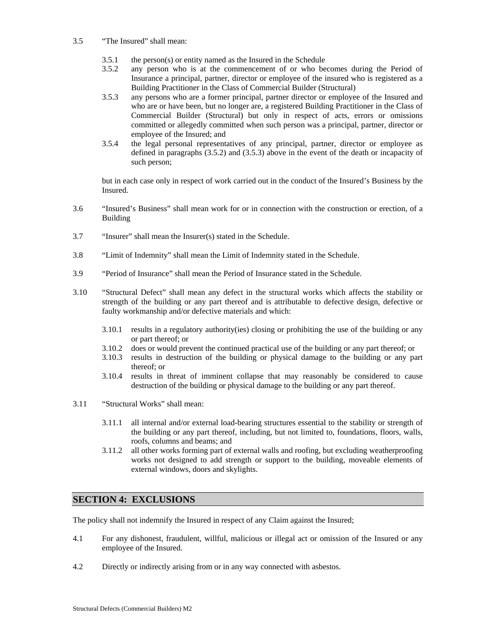#### 3.5 "The Insured" shall mean:

- 3.5.1 the person(s) or entity named as the Insured in the Schedule
- 3.5.2 any person who is at the commencement of or who becomes during the Period of Insurance a principal, partner, director or employee of the insured who is registered as a Building Practitioner in the Class of Commercial Builder (Structural)
- 3.5.3 any persons who are a former principal, partner director or employee of the Insured and who are or have been, but no longer are, a registered Building Practitioner in the Class of Commercial Builder (Structural) but only in respect of acts, errors or omissions committed or allegedly committed when such person was a principal, partner, director or employee of the Insured; and
- 3.5.4 the legal personal representatives of any principal, partner, director or employee as defined in paragraphs (3.5.2) and (3.5.3) above in the event of the death or incapacity of such person;

but in each case only in respect of work carried out in the conduct of the Insured's Business by the Insured.

- 3.6 "Insured's Business" shall mean work for or in connection with the construction or erection, of a Building
- 3.7 "Insurer" shall mean the Insurer(s) stated in the Schedule.
- 3.8 "Limit of Indemnity" shall mean the Limit of Indemnity stated in the Schedule.
- 3.9 "Period of Insurance" shall mean the Period of Insurance stated in the Schedule.
- 3.10 "Structural Defect" shall mean any defect in the structural works which affects the stability or strength of the building or any part thereof and is attributable to defective design, defective or faulty workmanship and/or defective materials and which:
	- 3.10.1 results in a regulatory authority(ies) closing or prohibiting the use of the building or any or part thereof; or
	- 3.10.2 does or would prevent the continued practical use of the building or any part thereof; or
	- 3.10.3 results in destruction of the building or physical damage to the building or any part thereof; or
	- 3.10.4 results in threat of imminent collapse that may reasonably be considered to cause destruction of the building or physical damage to the building or any part thereof.
- 3.11 "Structural Works" shall mean:
	- 3.11.1 all internal and/or external load-bearing structures essential to the stability or strength of the building or any part thereof, including, but not limited to, foundations, floors, walls, roofs, columns and beams; and
	- 3.11.2 all other works forming part of external walls and roofing, but excluding weatherproofing works not designed to add strength or support to the building, moveable elements of external windows, doors and skylights.

# **SECTION 4: EXCLUSIONS**

The policy shall not indemnify the Insured in respect of any Claim against the Insured;

- 4.1 For any dishonest, fraudulent, willful, malicious or illegal act or omission of the Insured or any employee of the Insured.
- 4.2 Directly or indirectly arising from or in any way connected with asbestos.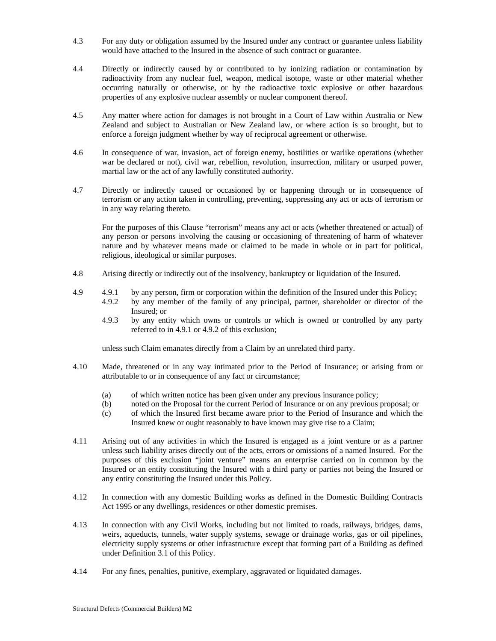- 4.3 For any duty or obligation assumed by the Insured under any contract or guarantee unless liability would have attached to the Insured in the absence of such contract or guarantee.
- 4.4 Directly or indirectly caused by or contributed to by ionizing radiation or contamination by radioactivity from any nuclear fuel, weapon, medical isotope, waste or other material whether occurring naturally or otherwise, or by the radioactive toxic explosive or other hazardous properties of any explosive nuclear assembly or nuclear component thereof.
- 4.5 Any matter where action for damages is not brought in a Court of Law within Australia or New Zealand and subject to Australian or New Zealand law, or where action is so brought, but to enforce a foreign judgment whether by way of reciprocal agreement or otherwise.
- 4.6 In consequence of war, invasion, act of foreign enemy, hostilities or warlike operations (whether war be declared or not), civil war, rebellion, revolution, insurrection, military or usurped power, martial law or the act of any lawfully constituted authority.
- 4.7 Directly or indirectly caused or occasioned by or happening through or in consequence of terrorism or any action taken in controlling, preventing, suppressing any act or acts of terrorism or in any way relating thereto.

For the purposes of this Clause "terrorism" means any act or acts (whether threatened or actual) of any person or persons involving the causing or occasioning of threatening of harm of whatever nature and by whatever means made or claimed to be made in whole or in part for political, religious, ideological or similar purposes.

- 4.8 Arising directly or indirectly out of the insolvency, bankruptcy or liquidation of the Insured.
- 4.9 4.9.1 by any person, firm or corporation within the definition of the Insured under this Policy; 4.9.2 by any member of the family of any principal, partner, shareholder or director of the Insured; or
	- 4.9.3 by any entity which owns or controls or which is owned or controlled by any party referred to in 4.9.1 or 4.9.2 of this exclusion;

unless such Claim emanates directly from a Claim by an unrelated third party.

- 4.10 Made, threatened or in any way intimated prior to the Period of Insurance; or arising from or attributable to or in consequence of any fact or circumstance;
	- (a) of which written notice has been given under any previous insurance policy;
	- (b) noted on the Proposal for the current Period of Insurance or on any previous proposal; or
	- (c) of which the Insured first became aware prior to the Period of Insurance and which the Insured knew or ought reasonably to have known may give rise to a Claim;
- 4.11 Arising out of any activities in which the Insured is engaged as a joint venture or as a partner unless such liability arises directly out of the acts, errors or omissions of a named Insured. For the purposes of this exclusion "joint venture" means an enterprise carried on in common by the Insured or an entity constituting the Insured with a third party or parties not being the Insured or any entity constituting the Insured under this Policy.
- 4.12 In connection with any domestic Building works as defined in the Domestic Building Contracts Act 1995 or any dwellings, residences or other domestic premises.
- 4.13 In connection with any Civil Works, including but not limited to roads, railways, bridges, dams, weirs, aqueducts, tunnels, water supply systems, sewage or drainage works, gas or oil pipelines, electricity supply systems or other infrastructure except that forming part of a Building as defined under Definition 3.1 of this Policy.
- 4.14 For any fines, penalties, punitive, exemplary, aggravated or liquidated damages.